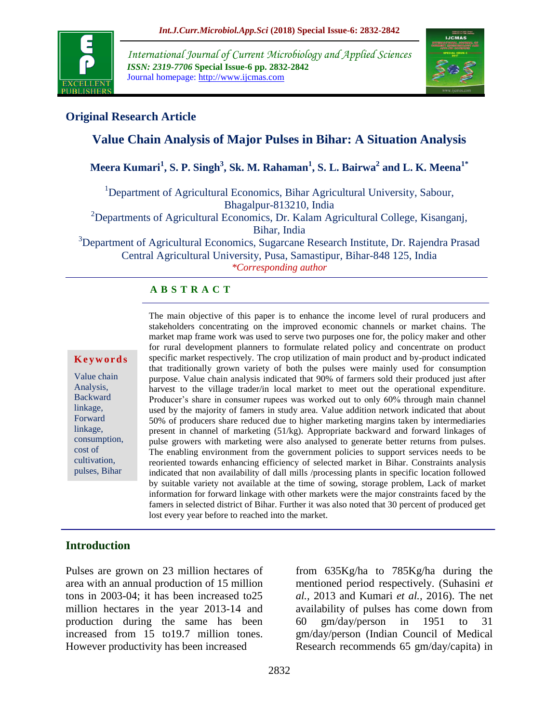

*International Journal of Current Microbiology and Applied Sciences ISSN: 2319-7706* **Special Issue-6 pp. 2832-2842** Journal homepage: http://www.ijcmas.com



# **Original Research Article**

# **Value Chain Analysis of Major Pulses in Bihar: A Situation Analysis**

**Meera Kumari<sup>1</sup> , S. P. Singh<sup>3</sup> , Sk. M. Rahaman<sup>1</sup> , S. L. Bairwa<sup>2</sup> and L. K. Meena1\***

<sup>1</sup>Department of Agricultural Economics, Bihar Agricultural University, Sabour, Bhagalpur-813210, India

<sup>2</sup>Departments of Agricultural Economics, Dr. Kalam Agricultural College, Kisanganj, Bihar, India

<sup>3</sup>Department of Agricultural Economics, Sugarcane Research Institute, Dr. Rajendra Prasad Central Agricultural University, Pusa, Samastipur, Bihar-848 125, India *\*Corresponding author*

#### **A B S T R A C T**

#### **K e y w o r d s**

Value chain Analysis, Backward linkage, Forward linkage, consumption, cost of cultivation, pulses, Bihar

The main objective of this paper is to enhance the income level of rural producers and stakeholders concentrating on the improved economic channels or market chains. The market map frame work was used to serve two purposes one for, the policy maker and other for rural development planners to formulate related policy and concentrate on product specific market respectively. The crop utilization of main product and by-product indicated that traditionally grown variety of both the pulses were mainly used for consumption purpose. Value chain analysis indicated that 90% of farmers sold their produced just after harvest to the village trader/in local market to meet out the operational expenditure. Producer's share in consumer rupees was worked out to only 60% through main channel used by the majority of famers in study area. Value addition network indicated that about 50% of producers share reduced due to higher marketing margins taken by intermediaries present in channel of marketing (51/kg). Appropriate backward and forward linkages of pulse growers with marketing were also analysed to generate better returns from pulses. The enabling environment from the government policies to support services needs to be reoriented towards enhancing efficiency of selected market in Bihar. Constraints analysis indicated that non availability of dall mills /processing plants in specific location followed by suitable variety not available at the time of sowing, storage problem, Lack of market information for forward linkage with other markets were the major constraints faced by the famers in selected district of Bihar. Further it was also noted that 30 percent of produced get lost every year before to reached into the market.

### **Introduction**

Pulses are grown on 23 million hectares of area with an annual production of 15 million tons in 2003-04; it has been increased to25 million hectares in the year 2013-14 and production during the same has been increased from 15 to19.7 million tones. However productivity has been increased

from 635Kg/ha to 785Kg/ha during the mentioned period respectively. (Suhasini *et al.,* 2013 and Kumari *et al.,* 2016). The net availability of pulses has come down from 60 gm/day/person in 1951 to 31 gm/day/person (Indian Council of Medical Research recommends 65 gm/day/capita) in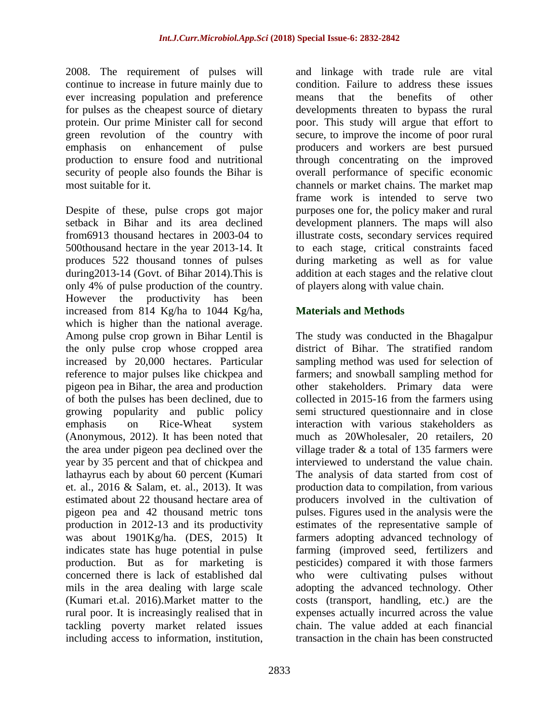2008. The requirement of pulses will continue to increase in future mainly due to ever increasing population and preference for pulses as the cheapest source of dietary protein. Our prime Minister call for second green revolution of the country with emphasis on enhancement of pulse production to ensure food and nutritional security of people also founds the Bihar is most suitable for it.

Despite of these, pulse crops got major setback in Bihar and its area declined from6913 thousand hectares in 2003-04 to 500thousand hectare in the year 2013-14. It produces 522 thousand tonnes of pulses during2013-14 (Govt. of Bihar 2014).This is only 4% of pulse production of the country. However the productivity has been increased from 814 Kg/ha to 1044 Kg/ha, which is higher than the national average. Among pulse crop grown in Bihar Lentil is the only pulse crop whose cropped area increased by 20,000 hectares. Particular reference to major pulses like chickpea and pigeon pea in Bihar, the area and production of both the pulses has been declined, due to growing popularity and public policy emphasis on Rice-Wheat system (Anonymous, 2012). It has been noted that the area under pigeon pea declined over the year by 35 percent and that of chickpea and lathayrus each by about 60 percent (Kumari et. al., 2016 & Salam, et. al., 2013). It was estimated about 22 thousand hectare area of pigeon pea and 42 thousand metric tons production in 2012-13 and its productivity was about 1901Kg/ha. (DES, 2015) It indicates state has huge potential in pulse production. But as for marketing is concerned there is lack of established dal mils in the area dealing with large scale (Kumari et.al. 2016).Market matter to the rural poor. It is increasingly realised that in tackling poverty market related issues including access to information, institution,

and linkage with trade rule are vital condition. Failure to address these issues means that the benefits of other developments threaten to bypass the rural poor. This study will argue that effort to secure, to improve the income of poor rural producers and workers are best pursued through concentrating on the improved overall performance of specific economic channels or market chains. The market map frame work is intended to serve two purposes one for, the policy maker and rural development planners. The maps will also illustrate costs, secondary services required to each stage, critical constraints faced during marketing as well as for value addition at each stages and the relative clout of players along with value chain.

### **Materials and Methods**

The study was conducted in the Bhagalpur district of Bihar. The stratified random sampling method was used for selection of farmers; and snowball sampling method for other stakeholders. Primary data were collected in 2015-16 from the farmers using semi structured questionnaire and in close interaction with various stakeholders as much as 20Wholesaler, 20 retailers, 20 village trader & a total of 135 farmers were interviewed to understand the value chain. The analysis of data started from cost of production data to compilation, from various producers involved in the cultivation of pulses. Figures used in the analysis were the estimates of the representative sample of farmers adopting advanced technology of farming (improved seed, fertilizers and pesticides) compared it with those farmers who were cultivating pulses without adopting the advanced technology. Other costs (transport, handling, etc.) are the expenses actually incurred across the value chain. The value added at each financial transaction in the chain has been constructed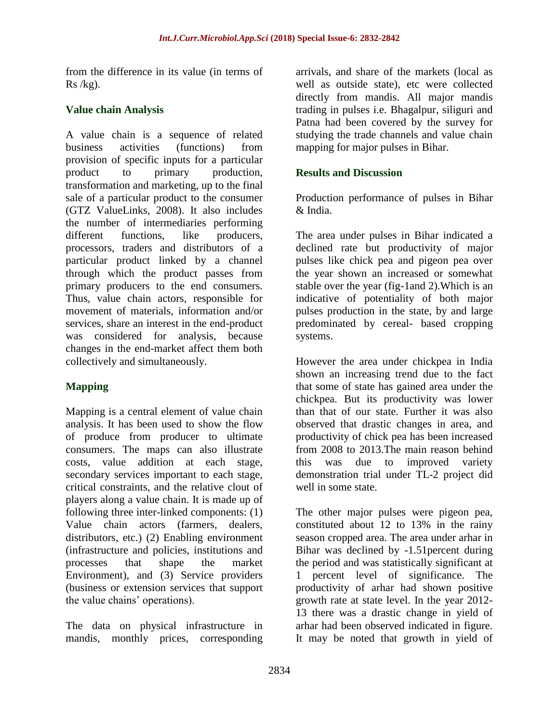from the difference in its value (in terms of  $Rs/kg$ ).

### **Value chain Analysis**

A value chain is a sequence of related business activities (functions) from provision of specific inputs for a particular product to primary production, transformation and marketing, up to the final sale of a particular product to the consumer (GTZ ValueLinks, 2008). It also includes the number of intermediaries performing different functions, like producers, processors, traders and distributors of a particular product linked by a channel through which the product passes from primary producers to the end consumers. Thus, value chain actors, responsible for movement of materials, information and/or services, share an interest in the end-product was considered for analysis, because changes in the end-market affect them both collectively and simultaneously.

# **Mapping**

Mapping is a central element of value chain analysis. It has been used to show the flow of produce from producer to ultimate consumers. The maps can also illustrate costs, value addition at each stage, secondary services important to each stage, critical constraints, and the relative clout of players along a value chain. It is made up of following three inter-linked components: (1) Value chain actors (farmers, dealers, distributors, etc.) (2) Enabling environment (infrastructure and policies, institutions and processes that shape the market Environment), and (3) Service providers (business or extension services that support the value chains' operations).

The data on physical infrastructure in mandis, monthly prices, corresponding

arrivals, and share of the markets (local as well as outside state), etc were collected directly from mandis. All major mandis trading in pulses i.e. Bhagalpur, siliguri and Patna had been covered by the survey for studying the trade channels and value chain mapping for major pulses in Bihar.

## **Results and Discussion**

Production performance of pulses in Bihar & India.

The area under pulses in Bihar indicated a declined rate but productivity of major pulses like chick pea and pigeon pea over the year shown an increased or somewhat stable over the year (fig-1and 2).Which is an indicative of potentiality of both major pulses production in the state, by and large predominated by cereal- based cropping systems.

However the area under chickpea in India shown an increasing trend due to the fact that some of state has gained area under the chickpea. But its productivity was lower than that of our state. Further it was also observed that drastic changes in area, and productivity of chick pea has been increased from 2008 to 2013.The main reason behind this was due to improved variety demonstration trial under TL-2 project did well in some state.

The other major pulses were pigeon pea, constituted about 12 to 13% in the rainy season cropped area. The area under arhar in Bihar was declined by -1.51percent during the period and was statistically significant at 1 percent level of significance. The productivity of arhar had shown positive growth rate at state level. In the year 2012- 13 there was a drastic change in yield of arhar had been observed indicated in figure. It may be noted that growth in yield of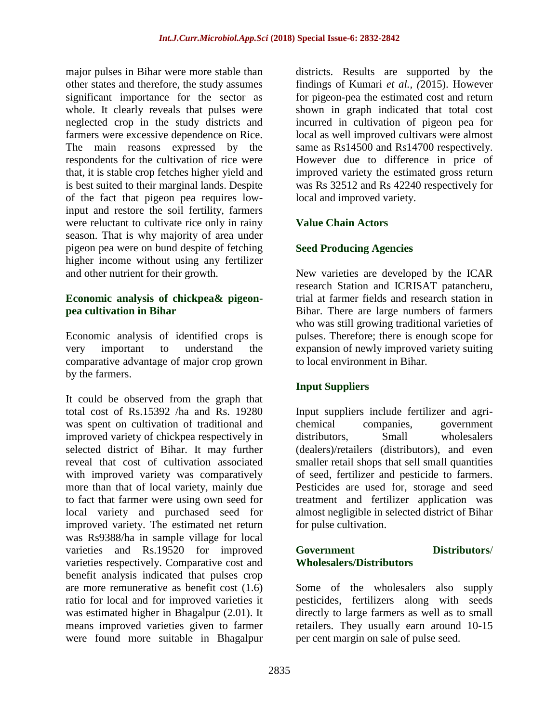major pulses in Bihar were more stable than other states and therefore, the study assumes significant importance for the sector as whole. It clearly reveals that pulses were neglected crop in the study districts and farmers were excessive dependence on Rice. The main reasons expressed by the respondents for the cultivation of rice were that, it is stable crop fetches higher yield and is best suited to their marginal lands. Despite of the fact that pigeon pea requires lowinput and restore the soil fertility, farmers were reluctant to cultivate rice only in rainy season. That is why majority of area under pigeon pea were on bund despite of fetching higher income without using any fertilizer and other nutrient for their growth.

### **Economic analysis of chickpea& pigeonpea cultivation in Bihar**

Economic analysis of identified crops is very important to understand the comparative advantage of major crop grown by the farmers.

It could be observed from the graph that total cost of Rs.15392 /ha and Rs. 19280 was spent on cultivation of traditional and improved variety of chickpea respectively in selected district of Bihar. It may further reveal that cost of cultivation associated with improved variety was comparatively more than that of local variety, mainly due to fact that farmer were using own seed for local variety and purchased seed for improved variety. The estimated net return was Rs9388/ha in sample village for local varieties and Rs.19520 for improved varieties respectively. Comparative cost and benefit analysis indicated that pulses crop are more remunerative as benefit cost (1.6) ratio for local and for improved varieties it was estimated higher in Bhagalpur (2.01). It means improved varieties given to farmer were found more suitable in Bhagalpur

districts. Results are supported by the findings of Kumari *et al., (*2015). However for pigeon-pea the estimated cost and return shown in graph indicated that total cost incurred in cultivation of pigeon pea for local as well improved cultivars were almost same as Rs14500 and Rs14700 respectively. However due to difference in price of improved variety the estimated gross return was Rs 32512 and Rs 42240 respectively for local and improved variety.

### **Value Chain Actors**

# **Seed Producing Agencies**

New varieties are developed by the ICAR research Station and ICRISAT patancheru, trial at farmer fields and research station in Bihar. There are large numbers of farmers who was still growing traditional varieties of pulses. Therefore; there is enough scope for expansion of newly improved variety suiting to local environment in Bihar.

# **Input Suppliers**

Input suppliers include fertilizer and agrichemical companies, government distributors. Small wholesalers (dealers)/retailers (distributors), and even smaller retail shops that sell small quantities of seed, fertilizer and pesticide to farmers. Pesticides are used for, storage and seed treatment and fertilizer application was almost negligible in selected district of Bihar for pulse cultivation.

### **Government Distributors**/ **Wholesalers/Distributors**

Some of the wholesalers also supply pesticides, fertilizers along with seeds directly to large farmers as well as to small retailers. They usually earn around 10-15 per cent margin on sale of pulse seed.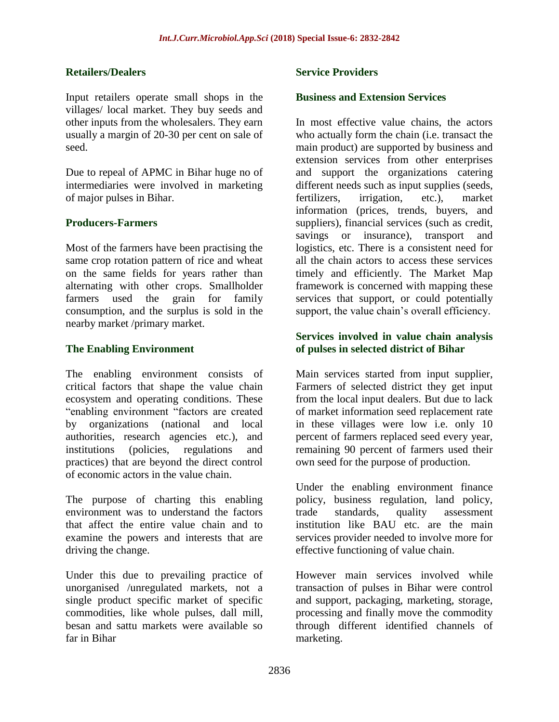### **Retailers/Dealers**

Input retailers operate small shops in the villages/ local market. They buy seeds and other inputs from the wholesalers. They earn usually a margin of 20-30 per cent on sale of seed.

Due to repeal of APMC in Bihar huge no of intermediaries were involved in marketing of major pulses in Bihar.

### **Producers-Farmers**

Most of the farmers have been practising the same crop rotation pattern of rice and wheat on the same fields for years rather than alternating with other crops. Smallholder farmers used the grain for family consumption, and the surplus is sold in the nearby market /primary market.

### **The Enabling Environment**

The enabling environment consists of critical factors that shape the value chain ecosystem and operating conditions. These "enabling environment "factors are created by organizations (national and local authorities, research agencies etc.), and institutions (policies, regulations and practices) that are beyond the direct control of economic actors in the value chain.

The purpose of charting this enabling environment was to understand the factors that affect the entire value chain and to examine the powers and interests that are driving the change.

Under this due to prevailing practice of unorganised /unregulated markets, not a single product specific market of specific commodities, like whole pulses, dall mill, besan and sattu markets were available so far in Bihar

### **Service Providers**

#### **Business and Extension Services**

In most effective value chains, the actors who actually form the chain (i.e. transact the main product) are supported by business and extension services from other enterprises and support the organizations catering different needs such as input supplies (seeds, fertilizers, irrigation, etc.), market information (prices, trends, buyers, and suppliers), financial services (such as credit, savings or insurance), transport and logistics, etc. There is a consistent need for all the chain actors to access these services timely and efficiently. The Market Map framework is concerned with mapping these services that support, or could potentially support, the value chain's overall efficiency.

### **Services involved in value chain analysis of pulses in selected district of Bihar**

Main services started from input supplier, Farmers of selected district they get input from the local input dealers. But due to lack of market information seed replacement rate in these villages were low i.e. only 10 percent of farmers replaced seed every year, remaining 90 percent of farmers used their own seed for the purpose of production.

Under the enabling environment finance policy, business regulation, land policy, trade standards, quality assessment institution like BAU etc. are the main services provider needed to involve more for effective functioning of value chain.

However main services involved while transaction of pulses in Bihar were control and support, packaging, marketing, storage, processing and finally move the commodity through different identified channels of marketing.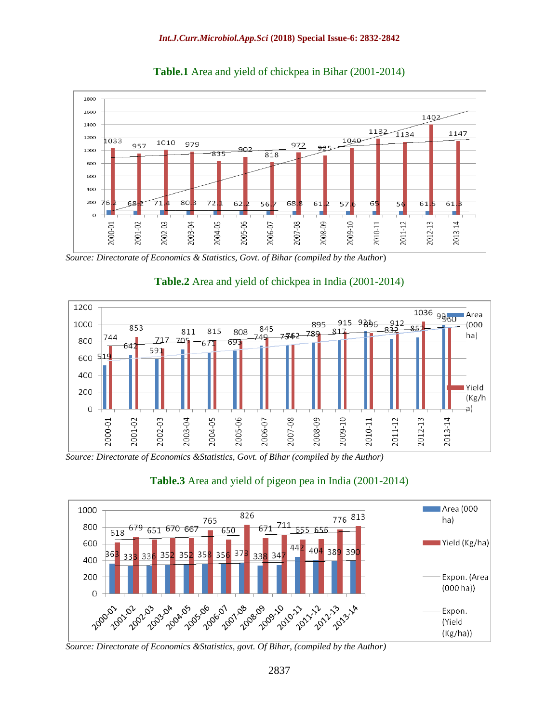

**Table.1** Area and yield of chickpea in Bihar (2001-2014)





### **Table.2** Area and yield of chickpea in India (2001-2014)

*Source: Directorate of Economics &Statistics, Govt. of Bihar (compiled by the Author)*





*Source: Directorate of Economics &Statistics, govt. Of Bihar, (compiled by the Author)*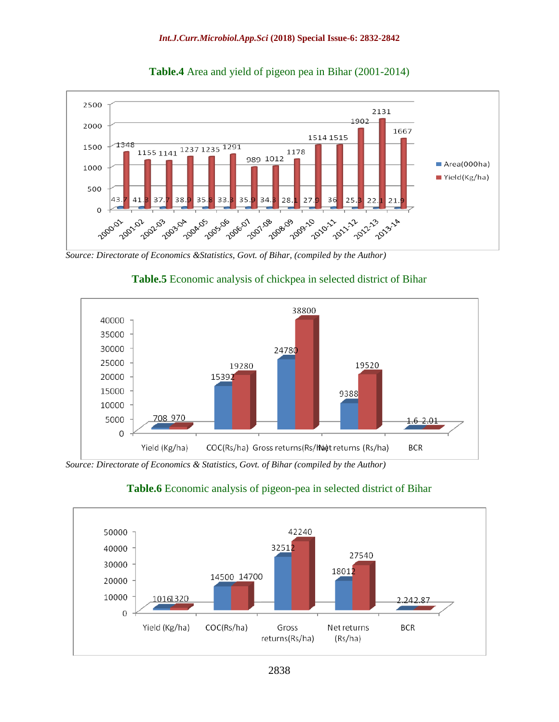

**Table.4** Area and yield of pigeon pea in Bihar (2001-2014)

*Source: Directorate of Economics &Statistics, Govt. of Bihar, (compiled by the Author)*



# **Table.5** Economic analysis of chickpea in selected district of Bihar

*Source: Directorate of Economics & Statistics, Govt. of Bihar (compiled by the Author)*



### **Table.6** Economic analysis of pigeon-pea in selected district of Bihar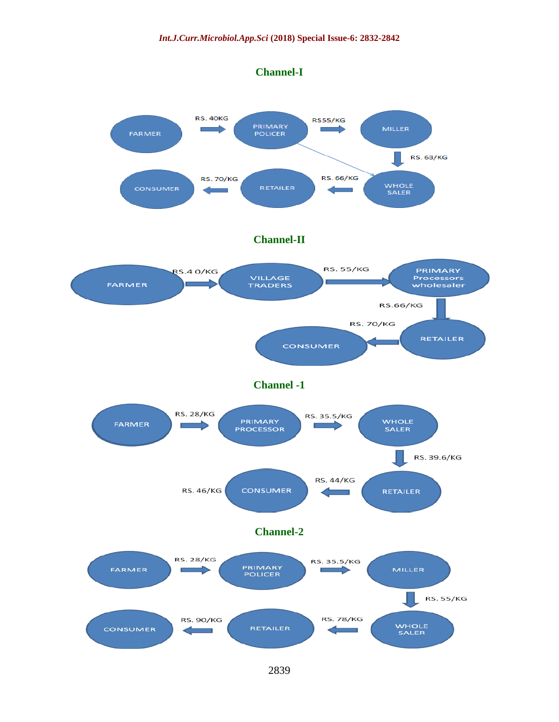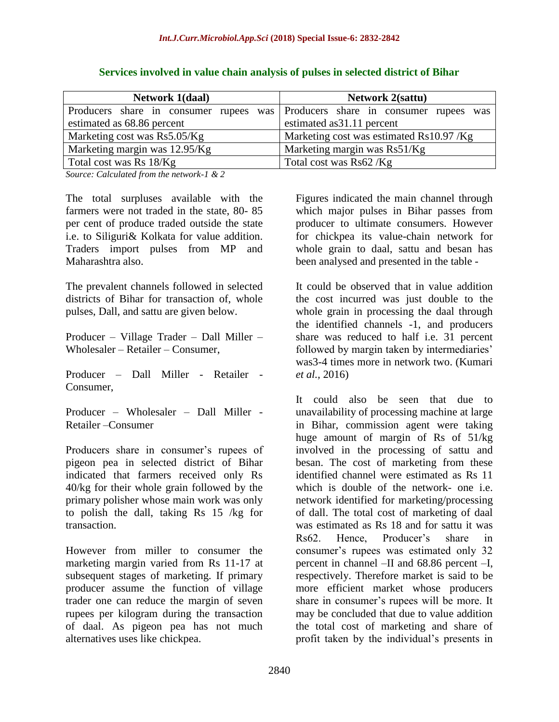| <b>Network 1(daal)</b>                                                        | <b>Network 2(sattu)</b>                  |
|-------------------------------------------------------------------------------|------------------------------------------|
| Producers share in consumer rupees was Producers share in consumer rupees was |                                          |
| estimated as 68.86 percent                                                    | estimated as 31.11 percent               |
| Marketing cost was Rs5.05/Kg                                                  | Marketing cost was estimated Rs10.97 /Kg |
| Marketing margin was 12.95/Kg                                                 | Marketing margin was Rs51/Kg             |
| Total cost was Rs 18/Kg                                                       | Total cost was Rs62/Kg                   |

### **Services involved in value chain analysis of pulses in selected district of Bihar**

*Source: Calculated from the network-1 & 2*

The total surpluses available with the farmers were not traded in the state, 80- 85 per cent of produce traded outside the state i.e. to Siliguri& Kolkata for value addition. Traders import pulses from MP and Maharashtra also.

The prevalent channels followed in selected districts of Bihar for transaction of, whole pulses, Dall, and sattu are given below.

Producer – Village Trader – Dall Miller – Wholesaler – Retailer – Consumer,

Producer – Dall Miller - Retailer - Consumer,

Producer – Wholesaler – Dall Miller - Retailer –Consumer

Producers share in consumer's rupees of pigeon pea in selected district of Bihar indicated that farmers received only Rs 40/kg for their whole grain followed by the primary polisher whose main work was only to polish the dall, taking Rs 15 /kg for transaction.

However from miller to consumer the marketing margin varied from Rs 11-17 at subsequent stages of marketing. If primary producer assume the function of village trader one can reduce the margin of seven rupees per kilogram during the transaction of daal. As pigeon pea has not much alternatives uses like chickpea.

Figures indicated the main channel through which major pulses in Bihar passes from producer to ultimate consumers. However for chickpea its value-chain network for whole grain to daal, sattu and besan has been analysed and presented in the table -

It could be observed that in value addition the cost incurred was just double to the whole grain in processing the daal through the identified channels -1, and producers share was reduced to half i.e. 31 percent followed by margin taken by intermediaries' was3-4 times more in network two. (Kumari *et al.,* 2016)

It could also be seen that due to unavailability of processing machine at large in Bihar, commission agent were taking huge amount of margin of Rs of 51/kg involved in the processing of sattu and besan. The cost of marketing from these identified channel were estimated as Rs 11 which is double of the network- one i.e. network identified for marketing/processing of dall. The total cost of marketing of daal was estimated as Rs 18 and for sattu it was Rs62. Hence, Producer's share in consumer's rupees was estimated only 32 percent in channel –II and 68.86 percent –I, respectively. Therefore market is said to be more efficient market whose producers share in consumer's rupees will be more. It may be concluded that due to value addition the total cost of marketing and share of profit taken by the individual's presents in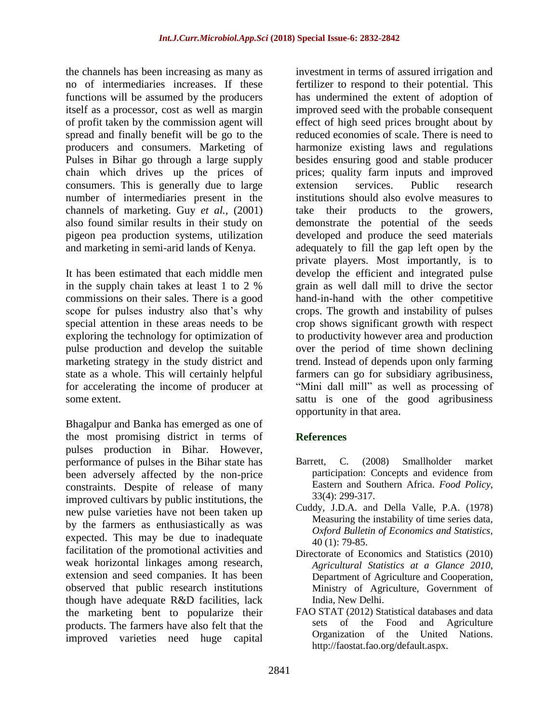the channels has been increasing as many as no of intermediaries increases. If these functions will be assumed by the producers itself as a processor, cost as well as margin of profit taken by the commission agent will spread and finally benefit will be go to the producers and consumers. Marketing of Pulses in Bihar go through a large supply chain which drives up the prices of consumers. This is generally due to large number of intermediaries present in the channels of marketing. Guy *et al.,* (2001) also found similar results in their study on pigeon pea production systems, utilization and marketing in semi-arid lands of Kenya.

It has been estimated that each middle men in the supply chain takes at least 1 to 2 % commissions on their sales. There is a good scope for pulses industry also that's why special attention in these areas needs to be exploring the technology for optimization of pulse production and develop the suitable marketing strategy in the study district and state as a whole. This will certainly helpful for accelerating the income of producer at some extent.

Bhagalpur and Banka has emerged as one of the most promising district in terms of pulses production in Bihar. However, performance of pulses in the Bihar state has been adversely affected by the non-price constraints. Despite of release of many improved cultivars by public institutions, the new pulse varieties have not been taken up by the farmers as enthusiastically as was expected. This may be due to inadequate facilitation of the promotional activities and weak horizontal linkages among research, extension and seed companies. It has been observed that public research institutions though have adequate R&D facilities, lack the marketing bent to popularize their products. The farmers have also felt that the improved varieties need huge capital

investment in terms of assured irrigation and fertilizer to respond to their potential. This has undermined the extent of adoption of improved seed with the probable consequent effect of high seed prices brought about by reduced economies of scale. There is need to harmonize existing laws and regulations besides ensuring good and stable producer prices; quality farm inputs and improved extension services. Public research institutions should also evolve measures to take their products to the growers, demonstrate the potential of the seeds developed and produce the seed materials adequately to fill the gap left open by the private players. Most importantly, is to develop the efficient and integrated pulse grain as well dall mill to drive the sector hand-in-hand with the other competitive crops. The growth and instability of pulses crop shows significant growth with respect to productivity however area and production over the period of time shown declining trend. Instead of depends upon only farming farmers can go for subsidiary agribusiness, "Mini dall mill" as well as processing of sattu is one of the good agribusiness opportunity in that area.

# **References**

- Barrett, C. (2008) Smallholder market participation: Concepts and evidence from Eastern and Southern Africa. *Food Policy,*  33(4): 299-317.
- Cuddy, J.D.A. and Della Valle, P.A. (1978) Measuring the instability of time series data, *Oxford Bulletin of Economics and Statistics,*  40 (1): 79-85.
- Directorate of Economics and Statistics (2010) *Agricultural Statistics at a Glance 2010*, Department of Agriculture and Cooperation, Ministry of Agriculture, Government of India, New Delhi.
- FAO STAT (2012) Statistical databases and data sets of the Food and Agriculture Organization of the United Nations. http://faostat.fao.org/default.aspx.